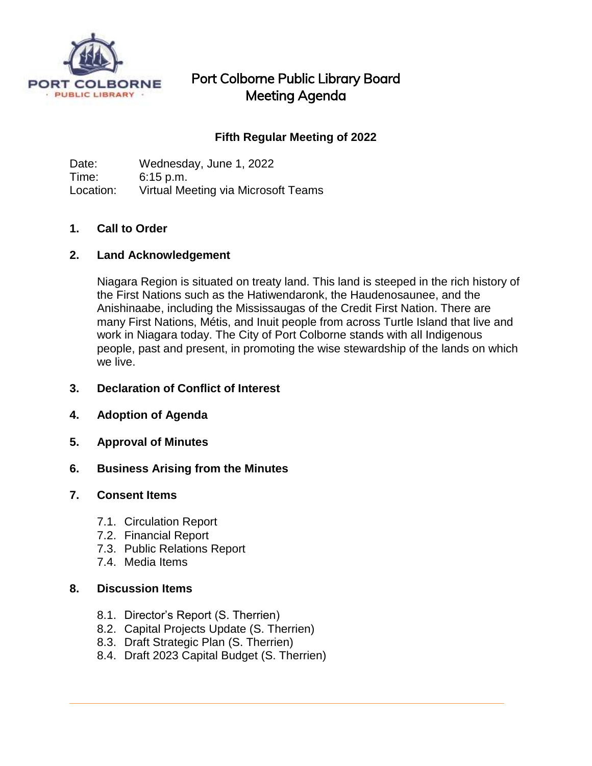

## Port Colborne Public Library Board Meeting Agenda

## **Fifth Regular Meeting of 2022**

Date: Wednesday, June 1, 2022 Time: 6:15 p.m. Location: Virtual Meeting via Microsoft Teams

### **1. Call to Order**

### **2. Land Acknowledgement**

Niagara Region is situated on treaty land. This land is steeped in the rich history of the First Nations such as the Hatiwendaronk, the Haudenosaunee, and the Anishinaabe, including the Mississaugas of the Credit First Nation. There are many First Nations, Métis, and Inuit people from across Turtle Island that live and work in Niagara today. The City of Port Colborne stands with all Indigenous people, past and present, in promoting the wise stewardship of the lands on which we live.

- **3. Declaration of Conflict of Interest**
- **4. Adoption of Agenda**
- **5. Approval of Minutes**
- **6. Business Arising from the Minutes**

#### **7. Consent Items**

- 7.1. Circulation Report
- 7.2. Financial Report
- 7.3. Public Relations Report
- 7.4. Media Items

#### **8. Discussion Items**

- 8.1. Director's Report (S. Therrien)
- 8.2. Capital Projects Update (S. Therrien)
- 8.3. Draft Strategic Plan (S. Therrien)
- 8.4. Draft 2023 Capital Budget (S. Therrien)